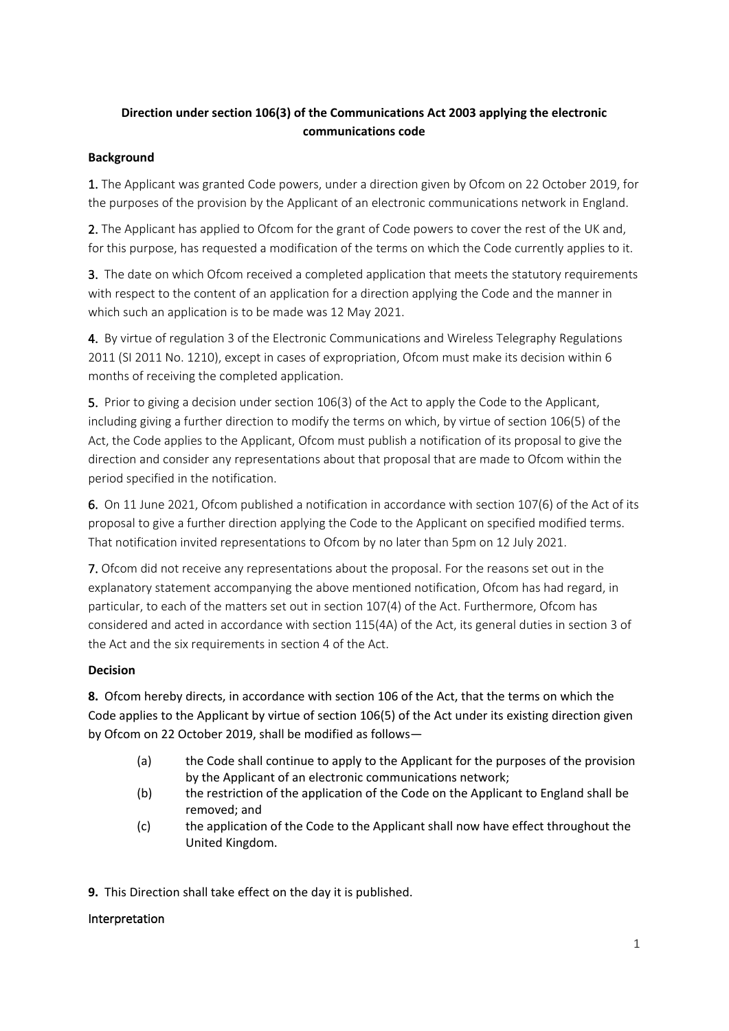# **Direction under section 106(3) of the Communications Act 2003 applying the electronic communications code**

## **Background**

1. The Applicant was granted Code powers, under a direction given by Ofcom on 22 October 2019, for the purposes of the provision by the Applicant of an electronic communications network in England.

2. The Applicant has applied to Ofcom for the grant of Code powers to cover the rest of the UK and, for this purpose, has requested a modification of the terms on which the Code currently applies to it.

3. The date on which Ofcom received a completed application that meets the statutory requirements with respect to the content of an application for a direction applying the Code and the manner in which such an application is to be made was 12 May 2021.

4. By virtue of regulation 3 of the Electronic Communications and Wireless Telegraphy Regulations 2011 (SI 2011 No. 1210), except in cases of expropriation, Ofcom must make its decision within 6 months of receiving the completed application.

5. Prior to giving a decision under section 106(3) of the Act to apply the Code to the Applicant, including giving a further direction to modify the terms on which, by virtue of section 106(5) of the Act, the Code applies to the Applicant, Ofcom must publish a notification of its proposal to give the direction and consider any representations about that proposal that are made to Ofcom within the period specified in the notification.

6. On 11 June 2021, Ofcom published a notification in accordance with section 107(6) of the Act of its proposal to give a further direction applying the Code to the Applicant on specified modified terms. That notification invited representations to Ofcom by no later than 5pm on 12 July 2021.

7. Ofcom did not receive any representations about the proposal. For the reasons set out in the explanatory statement accompanying the above mentioned notification, Ofcom has had regard, in particular, to each of the matters set out in section 107(4) of the Act. Furthermore, Ofcom has considered and acted in accordance with section 115(4A) of the Act, its general duties in section 3 of the Act and the six requirements in section 4 of the Act.

## **Decision**

**8.** Ofcom hereby directs, in accordance with section 106 of the Act, that the terms on which the Code applies to the Applicant by virtue of section 106(5) of the Act under its existing direction given by Ofcom on 22 October 2019, shall be modified as follows—

- (a) the Code shall continue to apply to the Applicant for the purposes of the provision by the Applicant of an electronic communications network;
- (b) the restriction of the application of the Code on the Applicant to England shall be removed; and
- (c) the application of the Code to the Applicant shall now have effect throughout the United Kingdom.

**9.** This Direction shall take effect on the day it is published.

## Interpretation